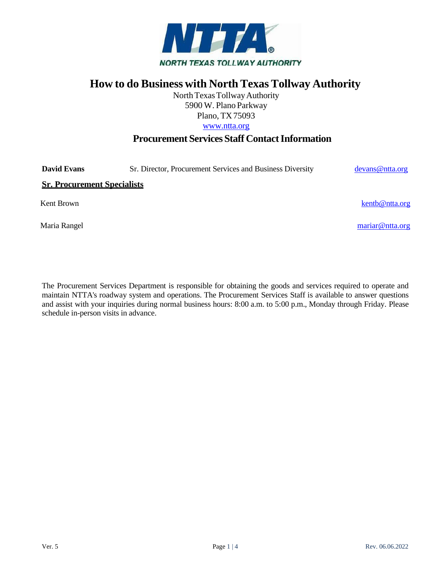

# **How to do Business with North Texas Tollway Authority**

North Texas Tollway Authority 5900 W. Plano Parkway Plano, TX75093 [www.ntta.org](http://www.ntta.org/)

# **Procurement Services Staff Contact Information**

**David Evans** Sr. Director, Procurement Services and Business Diversity [devans@ntta.org](mailto:devans@ntta.org)

**Sr. Procurement Specialists**

Kent Brown [kentb@ntta.org](mailto:kentb@ntta.org) example and the set of the set of the set of the set of the set of the set of the set of the set of the set of the set of the set of the set of the set of the set of the set of the set of the set

Maria Rangel [mariar@ntta.org](mailto:mariar@ntta.org)

The Procurement Services Department is responsible for obtaining the goods and services required to operate and maintain NTTA's roadway system and operations. The Procurement Services Staff is available to answer questions and assist with your inquiries during normal business hours: 8:00 a.m. to 5:00 p.m., Monday through Friday. Please schedule in-person visits in advance.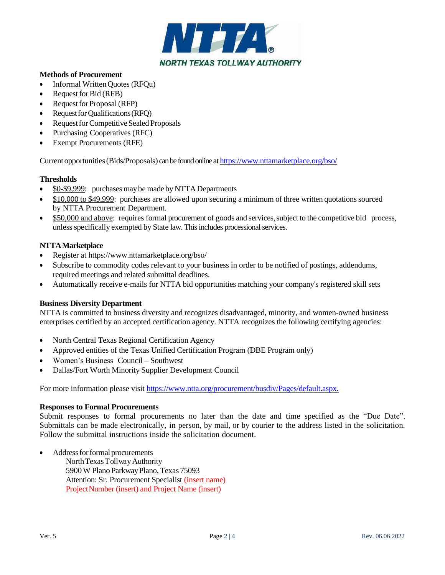

# **Methods of Procurement**

- Informal WrittenQuotes (RFQu)
- Request for Bid (RFB)
- Request for Proposal (RFP)
- Request for Qualifications  $(RFO)$
- Request for Competitive Sealed Proposals
- Purchasing Cooperatives (RFC)
- Exempt Procurements (RFE)

Currentopportunities(Bids/Proposals) can be found online at <https://www.nttamarketplace.org/bso/>

# **Thresholds**

- \$0-\$9,999: purchases may be made by NTTA Departments
- \$10,000 to \$49,999: purchases are allowed upon securing a minimum of three written quotationssourced by NTTA Procurement Department.
- \$50,000 and above: requires formal procurement of goods and services, subject to the competitive bid process, unless specifically exempted by State law. This includes processional services.

# **NTTAMarketplace**

- Register at<https://www.nttamarketplace.org/bso/>
- Subscribe to commodity codes relevant to your business in order to be notified of postings, addendums, required meetings and related submittal deadlines.
- Automatically receive e-mails for NTTA bid opportunities matching your company's registered skill sets

# **Business Diversity Department**

NTTA is committed to business diversity and recognizes disadvantaged, minority, and women-owned business enterprises certified by an accepted certification agency. NTTA recognizes the following certifying agencies:

- North Central Texas Regional Certification Agency
- Approved entities of the Texas Unified Certification Program (DBE Program only)
- Women's Business Council Southwest
- Dallas/Fort Worth Minority Supplier Development Council

For more information please visit [https://www.ntta.org/procurement/busdiv/Pages/default.aspx.](https://www.ntta.org/procurement/busdiv/Pages/default.aspx)

#### **Responses to Formal Procurements**

Submit responses to formal procurements no later than the date and time specified as the "Due Date". Submittals can be made electronically, in person, by mail, or by courier to the address listed in the solicitation. Follow the submittal instructions inside the solicitation document.

• Address for formal procurements

NorthTexasTollwayAuthority 5900W Plano ParkwayPlano, Texas 75093 Attention: Sr. Procurement Specialist (insert name) ProjectNumber (insert) and Project Name (insert)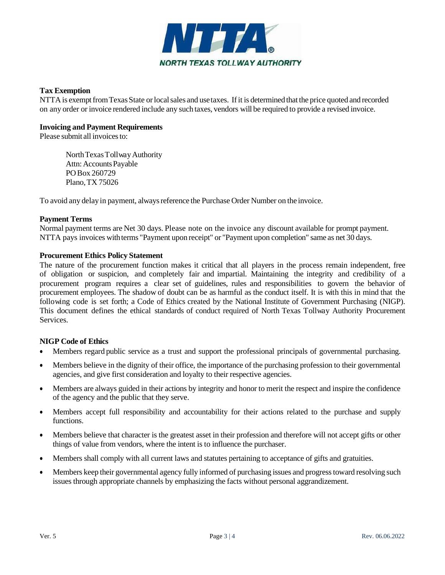

# **Tax Exemption**

NTTA is exempt from Texas State or local sales and use taxes. If it is determined that the price quoted and recorded on any order or invoice rendered include any such taxes, vendors will be required to provide a revised invoice.

#### **Invoicing and Payment Requirements**

Please submit all invoices to:

NorthTexasTollwayAuthority Attn: AccountsPayable POBox 260729 Plano,TX 75026

To avoid any delay in payment, alwaysreference the Purchase Order Number on the invoice.

#### **Payment Terms**

Normal payment terms are Net 30 days. Please note on the invoice any discount available for prompt payment. NTTA pays invoices withterms "Payment upon receipt" or "Payment upon completion" same as net 30 days.

#### **Procurement Ethics Policy Statement**

The nature of the procurement function makes it critical that all players in the process remain independent, free of obligation or suspicion, and completely fair and impartial. Maintaining the integrity and credibility of a procurement program requires a clear set of guidelines, rules and responsibilities to govern the behavior of procurement employees. The shadow of doubt can be as harmful as the conduct itself. It is with this in mind that the following code is set forth; a Code of Ethics created by the National Institute of Government Purchasing (NIGP). This document defines the ethical standards of conduct required of North Texas Tollway Authority Procurement Services.

# **NIGP Code of Ethics**

- Members regard public service as a trust and support the professional principals of governmental purchasing.
- Members believe in the dignity of their office, the importance of the purchasing profession to their governmental agencies, and give first consideration and loyalty to their respective agencies.
- Members are always guided in their actions by integrity and honor to merit the respect and inspire the confidence of the agency and the public that they serve.
- Members accept full responsibility and accountability for their actions related to the purchase and supply functions.
- Members believe that character is the greatest asset in their profession and therefore will not accept gifts or other things of value from vendors, where the intent is to influence the purchaser.
- Members shall comply with all current laws and statutes pertaining to acceptance of gifts and gratuities.
- Members keep their governmental agency fully informed of purchasing issues and progress toward resolving such issues through appropriate channels by emphasizing the facts without personal aggrandizement.